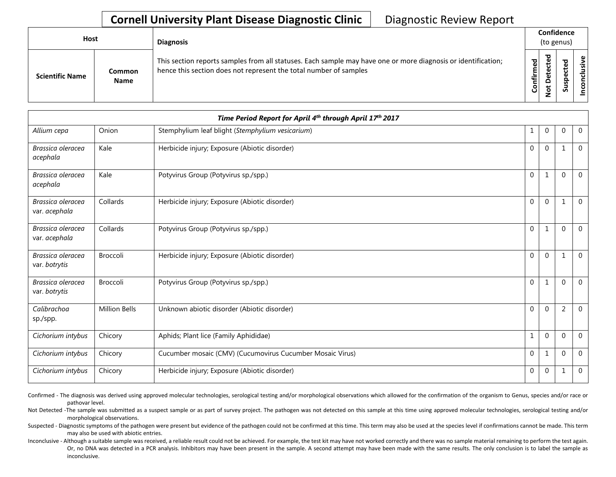| Host                   |                       | <b>Diagnosis</b>                                                                                                                                                                   |                      | Confidence<br>(to genus) |                    |                                      |  |  |
|------------------------|-----------------------|------------------------------------------------------------------------------------------------------------------------------------------------------------------------------------|----------------------|--------------------------|--------------------|--------------------------------------|--|--|
| <b>Scientific Name</b> | Common<br><b>Name</b> | This section reports samples from all statuses. Each sample may have one or more diagnosis or identification;<br>hence this section does not represent the total number of samples | ිත<br>ම<br>ηËΓ<br>පි | Φ                        | ъ<br>ω<br><b>S</b> | $\mathbf{\omega}$<br><u>- š</u><br>ဒ |  |  |

|                                    |                      | Time Period Report for April 4th through April 17th 2017  |              |                |                |                |
|------------------------------------|----------------------|-----------------------------------------------------------|--------------|----------------|----------------|----------------|
| Allium cepa                        | Onion                | Stemphylium leaf blight (Stemphylium vesicarium)          | 1            | $\mathbf 0$    | $\Omega$       | $\overline{0}$ |
| Brassica oleracea<br>acephala      | Kale                 | Herbicide injury; Exposure (Abiotic disorder)             | $\mathbf{0}$ | $\mathbf 0$    |                | $\overline{0}$ |
| Brassica oleracea<br>acephala      | Kale                 | Potyvirus Group (Potyvirus sp./spp.)                      | $\mathbf{0}$ | 1              | $\Omega$       | $\overline{0}$ |
| Brassica oleracea<br>var. acephala | Collards             | Herbicide injury; Exposure (Abiotic disorder)             | 0            | $\Omega$       |                | $\mathbf{0}$   |
| Brassica oleracea<br>var. acephala | Collards             | Potyvirus Group (Potyvirus sp./spp.)                      | $\mathbf 0$  | 1              | $\Omega$       | $\overline{0}$ |
| Brassica oleracea<br>var. botrytis | Broccoli             | Herbicide injury; Exposure (Abiotic disorder)             | $\mathbf{0}$ | $\mathbf{0}$   | $\mathbf{1}$   | $\overline{0}$ |
| Brassica oleracea<br>var. botrytis | Broccoli             | Potyvirus Group (Potyvirus sp./spp.)                      | $\Omega$     | 1              | $\Omega$       | $\mathbf{0}$   |
| Calibrachoa<br>sp./spp.            | <b>Million Bells</b> | Unknown abiotic disorder (Abiotic disorder)               | $\mathbf{0}$ | $\mathbf 0$    | $\overline{2}$ | $\mathbf 0$    |
| Cichorium intybus                  | Chicory              | Aphids; Plant lice (Family Aphididae)                     |              | $\mathbf 0$    | $\Omega$       | $\mathbf{0}$   |
| Cichorium intybus                  | Chicory              | Cucumber mosaic (CMV) (Cucumovirus Cucumber Mosaic Virus) | $\mathbf 0$  | 1              | $\Omega$       | $\mathbf{0}$   |
| Cichorium intybus                  | Chicory              | Herbicide injury; Exposure (Abiotic disorder)             | $\mathbf 0$  | $\overline{0}$ | 1              | $\mathbf 0$    |

Confirmed - The diagnosis was derived using approved molecular technologies, serological testing and/or morphological observations which allowed for the confirmation of the organism to Genus, species and/or race or pathovar level.

Not Detected -The sample was submitted as a suspect sample or as part of survey project. The pathogen was not detected on this sample at this time using approved molecular technologies, serological testing and/or morphological observations.

Suspected - Diagnostic symptoms of the pathogen were present but evidence of the pathogen could not be confirmed at this time. This term may also be used at the species level if confirmations cannot be made. This term may also be used with abiotic entries.

Inconclusive - Although a suitable sample was received, a reliable result could not be achieved. For example, the test kit may have not worked correctly and there was no sample material remaining to perform the test again. Or, no DNA was detected in a PCR analysis. Inhibitors may have been present in the sample. A second attempt may have been made with the same results. The only conclusion is to label the sample as inconclusive.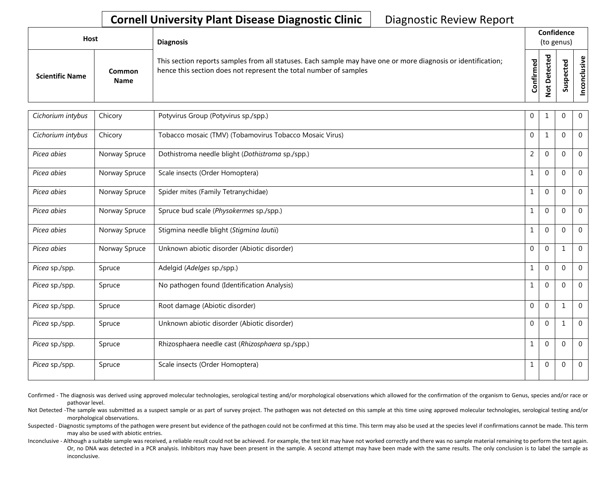| <b>Host</b>            |                       | <b>Diagnosis</b>                                                                                                                                                                   |           |                              | Confidence<br>(to genus) |                                |
|------------------------|-----------------------|------------------------------------------------------------------------------------------------------------------------------------------------------------------------------------|-----------|------------------------------|--------------------------|--------------------------------|
| <b>Scientific Name</b> | Common<br><b>Name</b> | This section reports samples from all statuses. Each sample may have one or more diagnosis or identification;<br>hence this section does not represent the total number of samples | Confirmed | ᇃ<br>உ<br>$\circ$<br>ىپ<br>- | ທ                        | $\mathbf \omega$<br>usiv<br>᠊ᠣ |

| Cichorium intybus | Chicory       | Potyvirus Group (Potyvirus sp./spp.)                    | 0              | 1            | 0            | $\overline{0}$ |
|-------------------|---------------|---------------------------------------------------------|----------------|--------------|--------------|----------------|
| Cichorium intybus | Chicory       | Tobacco mosaic (TMV) (Tobamovirus Tobacco Mosaic Virus) | $\mathbf 0$    | $\mathbf{1}$ | $\Omega$     | $\mathbf{0}$   |
| Picea abies       | Norway Spruce | Dothistroma needle blight (Dothistroma sp./spp.)        | $\overline{2}$ | $\mathbf{0}$ | $\mathbf{0}$ | $\Omega$       |
| Picea abies       | Norway Spruce | Scale insects (Order Homoptera)                         | $\mathbf{1}$   | $\mathbf 0$  | $\mathbf 0$  | $\mathbf 0$    |
| Picea abies       | Norway Spruce | Spider mites (Family Tetranychidae)                     | $\mathbf{1}$   | $\mathbf 0$  | $\Omega$     | $\Omega$       |
| Picea abies       | Norway Spruce | Spruce bud scale (Physokermes sp./spp.)                 | $\mathbf{1}$   | $\mathbf 0$  | $\mathbf{0}$ | $\mathbf 0$    |
| Picea abies       | Norway Spruce | Stigmina needle blight (Stigmina lautii)                | $\mathbf{1}$   | $\mathbf 0$  | $\Omega$     | $\mathbf 0$    |
| Picea abies       | Norway Spruce | Unknown abiotic disorder (Abiotic disorder)             | $\mathbf 0$    | $\Omega$     | $\mathbf 1$  | $\Omega$       |
| Picea sp./spp.    | Spruce        | Adelgid (Adelges sp./spp.)                              | $\mathbf{1}$   | $\mathbf 0$  | $\mathbf{0}$ | $\mathbf 0$    |
| Picea sp./spp.    | Spruce        | No pathogen found (Identification Analysis)             | $\mathbf{1}$   | $\mathbf 0$  | $\mathbf 0$  | $\mathbf 0$    |
| Picea sp./spp.    | Spruce        | Root damage (Abiotic disorder)                          | $\Omega$       | $\Omega$     | $\mathbf{1}$ | $\Omega$       |
| Picea sp./spp.    | Spruce        | Unknown abiotic disorder (Abiotic disorder)             | $\mathbf 0$    | $\Omega$     | $\mathbf{1}$ | $\mathbf 0$    |
| Picea sp./spp.    | Spruce        | Rhizosphaera needle cast (Rhizosphaera sp./spp.)        | $\mathbf 1$    | $\mathbf 0$  | $\Omega$     | $\mathbf 0$    |
| Picea sp./spp.    | Spruce        | Scale insects (Order Homoptera)                         | 1              | $\mathbf{0}$ | 0            | $\mathbf 0$    |

Confirmed - The diagnosis was derived using approved molecular technologies, serological testing and/or morphological observations which allowed for the confirmation of the organism to Genus, species and/or race or pathovar level.

Not Detected -The sample was submitted as a suspect sample or as part of survey project. The pathogen was not detected on this sample at this time using approved molecular technologies, serological testing and/or morphological observations.

Suspected - Diagnostic symptoms of the pathogen were present but evidence of the pathogen could not be confirmed at this time. This term may also be used at the species level if confirmations cannot be made. This term may also be used with abiotic entries.

Inconclusive - Although a suitable sample was received, a reliable result could not be achieved. For example, the test kit may have not worked correctly and there was no sample material remaining to perform the test again. Or, no DNA was detected in a PCR analysis. Inhibitors may have been present in the sample. A second attempt may have been made with the same results. The only conclusion is to label the sample as inconclusive.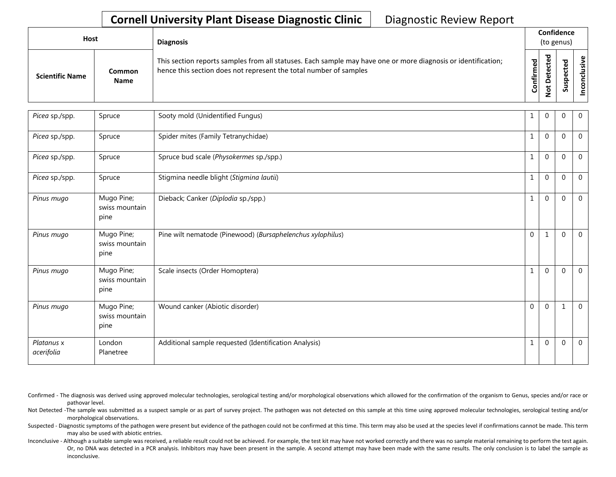| Host                   |                       | <b>Diagnosis</b>                                                                                                                                                                   |           | Confidence<br>(to genus)          |   |                 |
|------------------------|-----------------------|------------------------------------------------------------------------------------------------------------------------------------------------------------------------------------|-----------|-----------------------------------|---|-----------------|
| <b>Scientific Name</b> | Common<br><b>Name</b> | This section reports samples from all statuses. Each sample may have one or more diagnosis or identification;<br>hence this section does not represent the total number of samples | Confirmed | ᇃ<br>ں<br>Φ<br>سد<br>۵<br>سە<br>- | ശ | ω<br>usiv<br>᠊ᠣ |

| Picea sp./spp.           | Spruce                               | Sooty mold (Unidentified Fungus)                           | 1            | $\mathbf{0}$ | $\Omega$     | $\mathbf 0$    |
|--------------------------|--------------------------------------|------------------------------------------------------------|--------------|--------------|--------------|----------------|
| Picea sp./spp.           | Spruce                               | Spider mites (Family Tetranychidae)                        | 1            | $\mathbf{0}$ | $\Omega$     | $\overline{0}$ |
| Picea sp./spp.           | Spruce                               | Spruce bud scale (Physokermes sp./spp.)                    | $\mathbf{1}$ | $\mathbf{0}$ | $\Omega$     | $\overline{0}$ |
| Picea sp./spp.           | Spruce                               | Stigmina needle blight (Stigmina lautii)                   | 1            | $\mathbf 0$  | $\Omega$     | $\overline{0}$ |
| Pinus mugo               | Mugo Pine;<br>swiss mountain<br>pine | Dieback; Canker (Diplodia sp./spp.)                        | $\mathbf{1}$ | $\mathbf{0}$ | $\Omega$     | $\mathbf 0$    |
| Pinus mugo               | Mugo Pine;<br>swiss mountain<br>pine | Pine wilt nematode (Pinewood) (Bursaphelenchus xylophilus) | $\mathbf 0$  | $\mathbf{1}$ | $\mathbf{0}$ | $\overline{0}$ |
| Pinus mugo               | Mugo Pine;<br>swiss mountain<br>pine | Scale insects (Order Homoptera)                            | $\mathbf{1}$ | $\mathbf 0$  | $\mathbf{0}$ | $\overline{0}$ |
| Pinus mugo               | Mugo Pine;<br>swiss mountain<br>pine | Wound canker (Abiotic disorder)                            | $\mathbf{0}$ | $\mathbf{0}$ | $\mathbf{1}$ | $\overline{0}$ |
| Platanus x<br>acerifolia | London<br>Planetree                  | Additional sample requested (Identification Analysis)      | 1            | $\Omega$     | $\Omega$     | $\mathbf 0$    |

Confirmed - The diagnosis was derived using approved molecular technologies, serological testing and/or morphological observations which allowed for the confirmation of the organism to Genus, species and/or race or pathovar level.

Not Detected -The sample was submitted as a suspect sample or as part of survey project. The pathogen was not detected on this sample at this time using approved molecular technologies, serological testing and/or morphological observations.

Suspected - Diagnostic symptoms of the pathogen were present but evidence of the pathogen could not be confirmed at this time. This term may also be used at the species level if confirmations cannot be made. This term may also be used with abiotic entries.

Inconclusive - Although a suitable sample was received, a reliable result could not be achieved. For example, the test kit may have not worked correctly and there was no sample material remaining to perform the test again. Or, no DNA was detected in a PCR analysis. Inhibitors may have been present in the sample. A second attempt may have been made with the same results. The only conclusion is to label the sample as inconclusive.